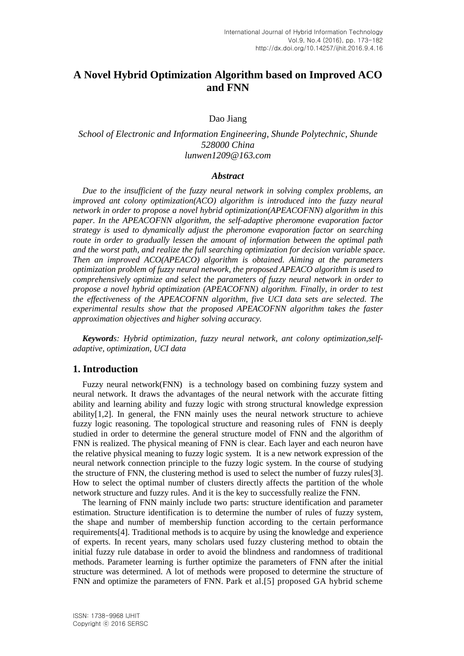# **A Novel Hybrid Optimization Algorithm based on Improved ACO and FNN**

Dao Jiang

# *School of Electronic and Information Engineering, Shunde Polytechnic, Shunde 528000 China lunwen1209@163.com*

#### *Abstract*

*Due to the insufficient of the fuzzy neural network in solving complex problems, an improved ant colony optimization(ACO) algorithm is introduced into the fuzzy neural network in order to propose a novel hybrid optimization(APEACOFNN) algorithm in this paper. In the APEACOFNN algorithm, the self-adaptive pheromone evaporation factor strategy is used to dynamically adjust the pheromone evaporation factor on searching route in order to gradually lessen the amount of information between the optimal path and the worst path, and realize the full searching optimization for decision variable space. Then an improved ACO(APEACO) algorithm is obtained. Aiming at the parameters optimization problem of fuzzy neural network, the proposed APEACO algorithm is used to comprehensively optimize and select the parameters of fuzzy neural network in order to propose a novel hybrid optimization (APEACOFNN) algorithm. Finally, in order to test the effectiveness of the APEACOFNN algorithm, five UCI data sets are selected. The experimental results show that the proposed APEACOFNN algorithm takes the faster approximation objectives and higher solving accuracy.*

*Keywords: Hybrid optimization, fuzzy neural network, ant colony optimization,selfadaptive, optimization, UCI data*

## **1. Introduction**

Fuzzy neural network(FNN) is a technology based on combining fuzzy system and neural network. It draws the advantages of the neural network with the accurate fitting ability and learning ability and fuzzy logic with strong structural knowledge expression ability[1,2]. In general, the FNN mainly uses the neural network structure to achieve fuzzy logic reasoning. The topological structure and reasoning rules of FNN is deeply studied in order to determine the general structure model of FNN and the algorithm of FNN is realized. The physical meaning of FNN is clear. Each layer and each neuron have the relative physical meaning to fuzzy logic system. It is a new network expression of the neural network connection principle to the fuzzy logic system. In the course of studying the structure of FNN, the clustering method is used to select the number of fuzzy rules[3]. How to select the optimal number of clusters directly affects the partition of the whole network structure and fuzzy rules. And it is the key to successfully realize the FNN.

The learning of FNN mainly include two parts: structure identification and parameter estimation. Structure identification is to determine the number of rules of fuzzy system, the shape and number of membership function according to the certain performance requirements[4]. Traditional methods is to acquire by using the knowledge and experience of experts. In recent years, many scholars used fuzzy clustering method to obtain the initial fuzzy rule database in order to avoid the blindness and randomness of traditional methods. Parameter learning is further optimize the parameters of FNN after the initial structure was determined. A lot of methods were proposed to determine the structure of FNN and optimize the parameters of FNN. Park et al.[5] proposed GA hybrid scheme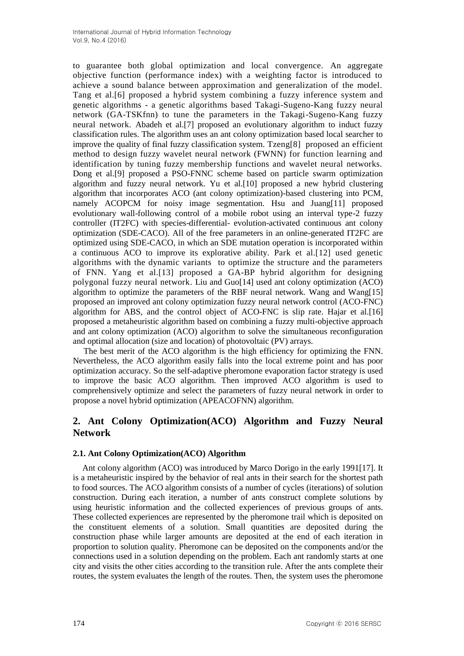to guarantee both global optimization and local convergence. An aggregate objective function (performance index) with a weighting factor is introduced to achieve a sound balance between approximation and generalization of the model. Tang et al.[6] proposed a hybrid system combining a fuzzy inference system and genetic algorithms - a genetic algorithms based Takagi-Sugeno-Kang fuzzy neural network (GA-TSKfnn) to tune the parameters in the Takagi-Sugeno-Kang fuzzy neural network. Abadeh et al.[7] proposed an evolutionary algorithm to induct fuzzy classification rules. The algorithm uses an ant colony optimization based local searcher to improve the quality of final fuzzy classification system. Tzeng[8] proposed an efficient method to design fuzzy wavelet neural network (FWNN) for function learning and identification by tuning fuzzy membership functions and wavelet neural networks. Dong et al.[9] proposed a PSO-FNNC scheme based on particle swarm optimization algorithm and fuzzy neural network. Yu et al.[10] proposed a new hybrid clustering algorithm that incorporates ACO (ant colony optimization)-based clustering into PCM, namely ACOPCM for noisy image segmentation. Hsu and Juang[11] proposed evolutionary wall-following control of a mobile robot using an interval type-2 fuzzy controller (IT2FC) with species-differential- evolution-activated continuous ant colony optimization (SDE-CACO). All of the free parameters in an online-generated IT2FC are optimized using SDE-CACO, in which an SDE mutation operation is incorporated within a continuous ACO to improve its explorative ability. Park et al.[12] used genetic algorithms with the dynamic variants to optimize the structure and the parameters of FNN. Yang et al.[13] proposed a GA-BP hybrid algorithm for designing polygonal fuzzy neural network. Liu and Guo[14] used ant colony optimization (ACO) algorithm to optimize the parameters of the RBF neural network. Wang and Wang[15] proposed an improved ant colony optimization fuzzy neural network control (ACO-FNC) algorithm for ABS, and the control object of ACO-FNC is slip rate. Hajar et al.[16] proposed a metaheuristic algorithm based on combining a fuzzy multi-objective approach and ant colony optimization (ACO) algorithm to solve the simultaneous reconfiguration and optimal allocation (size and location) of photovoltaic (PV) arrays.

 The best merit of the ACO algorithm is the high efficiency for optimizing the FNN. Nevertheless, the ACO algorithm easily falls into the local extreme point and has poor optimization accuracy. So the self-adaptive pheromone evaporation factor strategy is used to improve the basic ACO algorithm. Then improved ACO algorithm is used to comprehensively optimize and select the parameters of fuzzy neural network in order to propose a novel hybrid optimization (APEACOFNN) algorithm.

# **2. Ant Colony Optimization(ACO) Algorithm and Fuzzy Neural Network**

## **2.1. Ant Colony Optimization(ACO) Algorithm**

Ant colony algorithm (ACO) was introduced by Marco Dorigo in the early 1991[17]. It is a metaheuristic inspired by the behavior of real ants in their search for the shortest path to food sources. The ACO algorithm consists of a number of cycles (iterations) of solution construction. During each iteration, a number of ants construct complete solutions by using heuristic information and the collected experiences of previous groups of ants. These collected experiences are represented by the pheromone trail which is deposited on the constituent elements of a solution. Small quantities are deposited during the construction phase while larger amounts are deposited at the end of each iteration in proportion to solution quality. Pheromone can be deposited on the components and/or the connections used in a solution depending on the problem. Each ant randomly starts at one city and visits the other cities according to the transition rule. After the ants complete their routes, the system evaluates the length of the routes. Then, the system uses the pheromone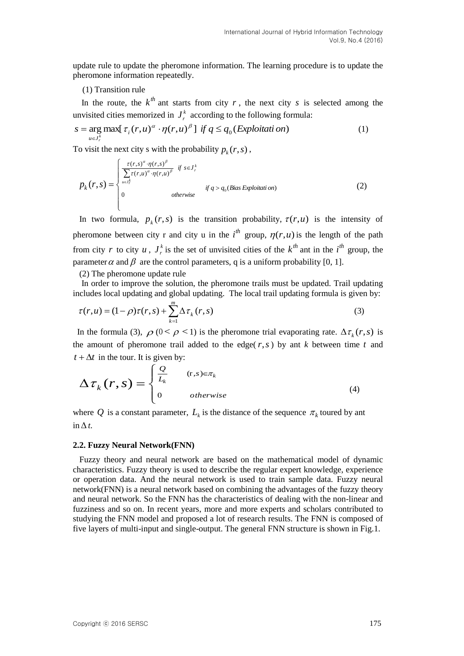update rule to update the pheromone information. The learning procedure is to update the pheromone information repeatedly.

#### (1) Transition rule

In the route, the  $k^{th}$  ant starts from city r, the next city s is selected among the unvisited cities memorized in  $J_r^k$  $J_r^k$  according to the following formula:

$$
s = \underset{u \in J_r^k}{\arg \max} [\tau_i(r, u)^\alpha \cdot \eta(r, u)^\beta] \text{ if } q \le q_0(\text{Exploitation})
$$
 (1)

To visit the next city s with the probability  $p_k(r, s)$ ,

$$
p_k(r,s) = \begin{cases} \frac{\tau(r,s)^{\alpha} \cdot \eta(r,s)^{\beta}}{\sum_{u \in J_r^k} \tau(r,u)^{\alpha} \cdot \eta(r,u)^{\beta}} & \text{if } s \in J_r^k \\ 0 & \text{otherwise} \end{cases} \quad \text{if } q > q_0 \text{ (Bias Exploration)} \tag{2}
$$

In two formula,  $p_k(r, s)$  is the transition probability,  $\tau(r, u)$  is the intensity of pheromone between city r and city u in the  $i^{th}$  group,  $\eta(r, u)$  is the length of the path from city r to city  $u, J_r^k$  $J_r^k$  is the set of unvisited cities of the  $k^{th}$  ant in the  $i^{th}$  group, the parameter  $\alpha$  and  $\beta$  are the control parameters, q is a uniform probability [0, 1].

#### (2) The pheromone update rule

In order to improve the solution, the pheromone trails must be updated. Trail updating includes local updating and global updating. The local trail updating formula is given by:

$$
\tau(r, u) = (1 - \rho)\tau(r, s) + \sum_{k=1}^{m} \Delta \tau_k(r, s)
$$
\n(3)

In the formula (3),  $\rho$  ( $0 < \rho < 1$ ) is the pheromone trial evaporating rate.  $\Delta \tau_k(r,s)$  is the amount of pheromone trail added to the edge( $r, s$ ) by ant  $k$  between time  $t$  and  $t + \Delta t$  in the tour. It is given by:

$$
\Delta \tau_k(r,s) = \begin{cases} \frac{Q}{L_k} & (r,s) \in \pi_k \\ 0 & otherwise \end{cases}
$$
 (4)

where Q is a constant parameter,  $L_k$  is the distance of the sequence  $\pi_k$  toured by ant  $\ln \Delta t$ .

#### **2.2. Fuzzy Neural Network(FNN)**

Fuzzy theory and neural network are based on the mathematical model of dynamic characteristics. Fuzzy theory is used to describe the regular expert knowledge, experience or operation data. And the neural network is used to train sample data. Fuzzy neural network(FNN) is a neural network based on combining the advantages of the fuzzy theory and neural network. So the FNN has the characteristics of dealing with the non-linear and fuzziness and so on. In recent years, more and more experts and scholars contributed to studying the FNN model and proposed a lot of research results. The FNN is composed of five layers of multi-input and single-output. The general FNN structure is shown in Fig.1.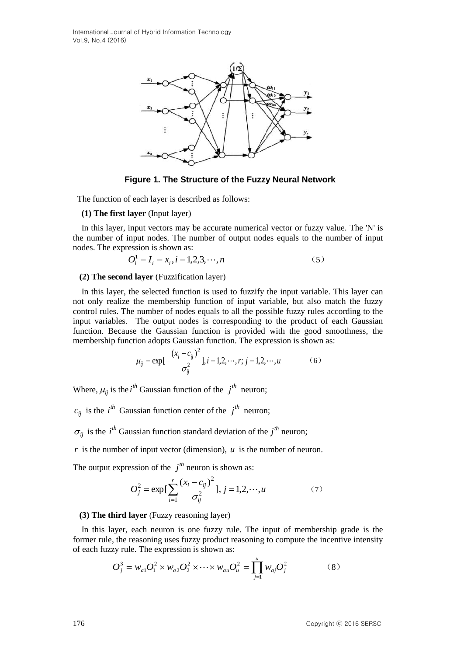International Journal of Hybrid Information Technology Vol.9, No.4 (2016)



**Figure 1. The Structure of the Fuzzy Neural Network** 

The function of each layer is described as follows:

#### **(1) The first layer** (Input layer)

 In this layer, input vectors may be accurate numerical vector or fuzzy value. The 'N' is the number of input nodes. The number of output nodes equals to the number of input nodes. The expression is shown as:

$$
O_i^1 = I_i = x_i, i = 1, 2, 3, \cdots, n
$$
\n<sup>(5)</sup>

### **(2) The second layer** (Fuzzification layer)

 In this layer, the selected function is used to fuzzify the input variable. This layer can not only realize the membership function of input variable, but also match the fuzzy control rules. The number of nodes equals to all the possible fuzzy rules according to the input variables. The output nodes is corresponding to the product of each Gaussian function. Because the Gaussian function is provided with the good smoothness, the membership function adopts Gaussian function. The expression is shown as:

$$
\mu_{ij} = \exp\left[-\frac{(x_i - c_{ij})^2}{\sigma_{ij}^2}\right], i = 1, 2, \cdots, r; j = 1, 2, \cdots, u \tag{6}
$$

Where,  $\mu_{ij}$  is the *i*<sup>th</sup> Gaussian function of the *j*<sup>th</sup> neuron;

 $c_{ij}$  is the *i*<sup>th</sup> Gaussian function center of the *j*<sup>th</sup> neuron;

 $\sigma_{ij}$  is the *i*<sup>th</sup> Gaussian function standard deviation of the *j*<sup>th</sup> neuron;

 $r$  is the number of input vector (dimension),  $u$  is the number of neuron.

The output expression of the  $j<sup>th</sup>$  neuron is shown as:

$$
O_j^2 = \exp\left[\sum_{i=1}^r \frac{(x_i - c_{ij})^2}{\sigma_{ij}^2}\right], j = 1, 2, \cdots, u \tag{7}
$$

## **(3) The third layer** (Fuzzy reasoning layer)

 In this layer, each neuron is one fuzzy rule. The input of membership grade is the former rule, the reasoning uses fuzzy product reasoning to compute the incentive intensity of each fuzzy rule. The expression is shown as:

$$
O_j^3 = w_{a1}O_1^2 \times w_{a2}O_2^2 \times \cdots \times w_{au}O_u^2 = \prod_{j=1}^u w_{aj}O_j^2
$$
 (8)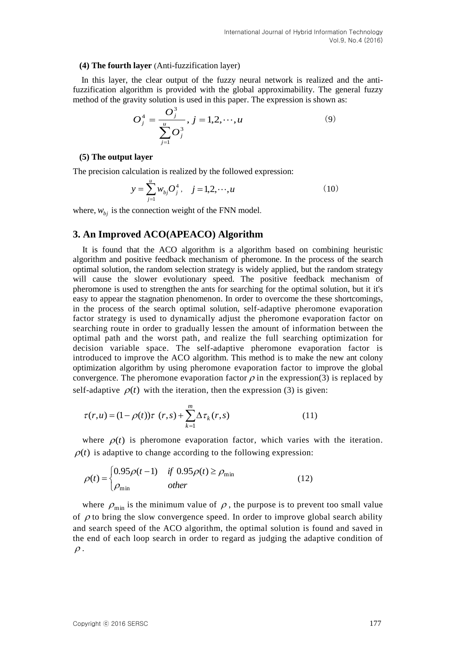#### **(4) The fourth layer** (Anti-fuzzification layer)

 In this layer, the clear output of the fuzzy neural network is realized and the antifuzzification algorithm is provided with the global approximability. The general fuzzy method of the gravity solution is used in this paper. The expression is shown as:

$$
O_j^4 = \frac{O_j^3}{\sum_{j=1}^u O_j^3}, j = 1, 2, \cdots, u
$$
 (9)

#### **(5) The output layer**

The precision calculation is realized by the followed expression:

$$
y = \sum_{j=1}^{u} w_{bj} O_j^4, \quad j = 1, 2, \cdots, u
$$
 (10)

where,  $w_{bj}$  is the connection weight of the FNN model.

## **3. An Improved ACO(APEACO) Algorithm**

It is found that the ACO algorithm is a algorithm based on combining heuristic algorithm and positive feedback mechanism of pheromone. In the process of the search optimal solution, the random selection strategy is widely applied, but the random strategy will cause the slower evolutionary speed. The positive feedback mechanism of pheromone is used to strengthen the ants for searching for the optimal solution, but it it's easy to appear the stagnation phenomenon. In order to overcome the these shortcomings, in the process of the search optimal solution, self-adaptive pheromone evaporation factor strategy is used to dynamically adjust the pheromone evaporation factor on searching route in order to gradually lessen the amount of information between the optimal path and the worst path, and realize the full searching optimization for decision variable space. The self-adaptive pheromone evaporation factor is introduced to improve the ACO algorithm. This method is to make the new ant colony optimization algorithm by using pheromone evaporation factor to improve the global convergence. The pheromone evaporation factor  $\rho$  in the expression(3) is replaced by self-adaptive  $\rho(t)$  with the iteration, then the expression (3) is given:

$$
\tau(r, u) = (1 - \rho(t))\tau(r, s) + \sum_{k=1}^{m} \Delta \tau_k(r, s)
$$
\n(11)

where  $\rho(t)$  is pheromone evaporation factor, which varies with the iteration.  $\rho(t)$  is adaptive to change according to the following expression:

$$
\rho(t) = \begin{cases} 0.95 \rho(t-1) & \text{if } 0.95 \rho(t) \ge \rho_{\text{min}} \\ \rho_{\text{min}} & \text{other} \end{cases}
$$
(12)

where  $\rho_{\min}$  is the minimum value of  $\rho$ , the purpose is to prevent too small value of  $\rho$  to bring the slow convergence speed. In order to improve global search ability and search speed of the ACO algorithm, the optimal solution is found and saved in the end of each loop search in order to regard as judging the adaptive condition of  $\rho$ .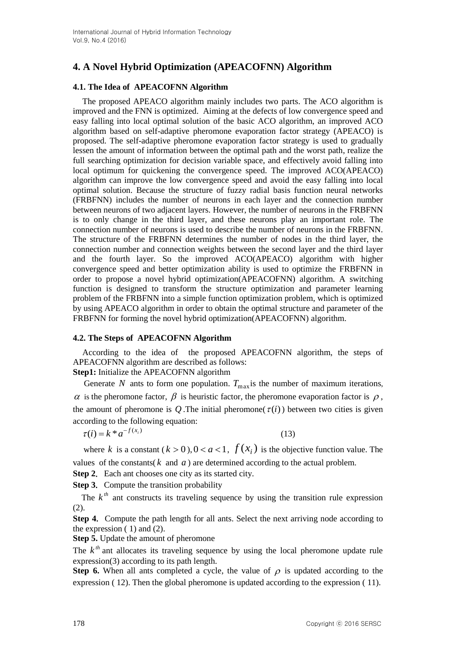# **4. A Novel Hybrid Optimization (APEACOFNN) Algorithm**

## **4.1. The Idea of APEACOFNN Algorithm**

The proposed APEACO algorithm mainly includes two parts. The ACO algorithm is improved and the FNN is optimized. Aiming at the defects of low convergence speed and easy falling into local optimal solution of the basic ACO algorithm, an improved ACO algorithm based on self-adaptive pheromone evaporation factor strategy (APEACO) is proposed. The self-adaptive pheromone evaporation factor strategy is used to gradually lessen the amount of information between the optimal path and the worst path, realize the full searching optimization for decision variable space, and effectively avoid falling into local optimum for quickening the convergence speed. The improved ACO(APEACO) algorithm can improve the low convergence speed and avoid the easy falling into local optimal solution. Because the structure of fuzzy radial basis function neural networks (FRBFNN) includes the number of neurons in each layer and the connection number between neurons of two adjacent layers. However, the number of neurons in the FRBFNN is to only change in the third layer, and these neurons play an important role. The connection number of neurons is used to describe the number of neurons in the FRBFNN. The structure of the FRBFNN determines the number of nodes in the third layer, the connection number and connection weights between the second layer and the third layer and the fourth layer. So the improved ACO(APEACO) algorithm with higher convergence speed and better optimization ability is used to optimize the FRBFNN in order to propose a novel hybrid optimization(APEACOFNN) algorithm. A switching function is designed to transform the structure optimization and parameter learning problem of the FRBFNN into a simple function optimization problem, which is optimized by using APEACO algorithm in order to obtain the optimal structure and parameter of the FRBFNN for forming the novel hybrid optimization(APEACOFNN) algorithm.

## **4.2. The Steps of APEACOFNN Algorithm**

According to the idea of the proposed APEACOFNN algorithm, the steps of APEACOFNN algorithm are described as follows:

# **Step1:** Initialize the APEACOFNN algorithm

Generate N ants to form one population.  $T_{\text{max}}$  is the number of maximum iterations,  $\alpha$  is the pheromone factor,  $\beta$  is heuristic factor, the pheromone evaporation factor is  $\rho$ , the amount of pheromone is  $Q$ . The initial pheromone( $\tau(i)$ ) between two cities is given according to the following equation:

$$
\tau(i) = k * a^{-f(x_i)}\tag{13}
$$

where k is a constant  $(k > 0)$ ,  $0 < a < 1$ ,  $f(x_i)$  is the objective function value. The values of the constants( $k$  and  $a$ ) are determined according to the actual problem.

**Step 2.** Each ant chooses one city as its started city.

**Step 3.** Compute the transition probability

The  $k^{th}$  ant constructs its traveling sequence by using the transition rule expression (2).

**Step 4.** Compute the path length for all ants. Select the next arriving node according to the expression  $(1)$  and  $(2)$ .

**Step 5.** Update the amount of pheromone

The  $k<sup>th</sup>$  ant allocates its traveling sequence by using the local pheromone update rule expression(3) according to its path length.

**Step 6.** When all ants completed a cycle, the value of  $\rho$  is updated according to the expression ( 12). Then the global pheromone is updated according to the expression ( 11).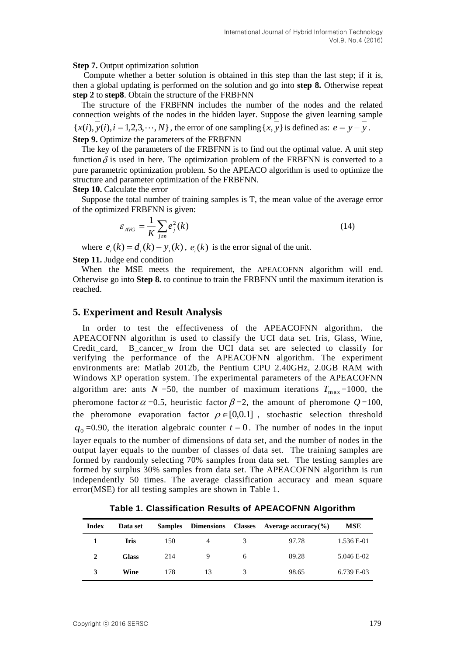#### **Step 7.** Output optimization solution

 Compute whether a better solution is obtained in this step than the last step; if it is, then a global updating is performed on the solution and go into **step 8.** Otherwise repeat **step 2** to **step8**. Obtain the structure of the FRBFNN

The structure of the FRBFNN includes the number of the nodes and the related connection weights of the nodes in the hidden layer. Suppose the given learning sample  ${x(i), y(i), i = 1,2,3,..., N}$ , the error of one sampling  ${x, y}$  is defined as:  $e = y - y$ . **Step 9.** Optimize the parameters of the FRBFNN

 The key of the parameters of the FRBFNN is to find out the optimal value. A unit step function  $\delta$  is used in here. The optimization problem of the FRBFNN is converted to a pure parametric optimization problem. So the APEACO algorithm is used to optimize the structure and parameter optimization of the FRBFNN.

**Step 10.** Calculate the error

Suppose the total number of training samples is T, the mean value of the average error of the optimized FRBFNN is given:

$$
\varepsilon_{AVG} = \frac{1}{K} \sum_{j \in n} e_j^2(k) \tag{14}
$$

where  $e_i(k) = d_i(k) - y_i(k)$ ,  $e_i(k)$  is the error signal of the unit.

**Step 11.** Judge end condition

When the MSE meets the requirement, the APEACOFNN algorithm will end. Otherwise go into **Step 8.** to continue to train the FRBFNN until the maximum iteration is reached.

#### **5. Experiment and Result Analysis**

In order to test the effectiveness of the APEACOFNN algorithm, the APEACOFNN algorithm is used to classify the UCI data set. Iris, Glass, Wine, Credit\_card, B\_cancer\_w from the UCI data set are selected to classify for verifying the performance of the APEACOFNN algorithm. The experiment environments are: Matlab 2012b, the Pentium CPU 2.40GHz, 2.0GB RAM with Windows XP operation system. The experimental parameters of the APEACOFNN algorithm are: ants  $N = 50$ , the number of maximum iterations  $T_{\text{max}} = 1000$ , the pheromone factor  $\alpha$  =0.5, heuristic factor  $\beta$  =2, the amount of pheromone  $Q$ =100, the pheromone evaporation factor  $\rho \in [0,0.1]$ , stochastic selection threshold  $q_0$ =0.90, the iteration algebraic counter  $t = 0$ . The number of nodes in the input layer equals to the number of dimensions of data set, and the number of nodes in the output layer equals to the number of classes of data set. The training samples are formed by randomly selecting 70% samples from data set. The testing samples are formed by surplus 30% samples from data set. The APEACOFNN algorithm is run independently 50 times. The average classification accuracy and mean square error(MSE) for all testing samples are shown in Table 1.

**Index Data set Samples Dimensions Classes Average accuracy(%) MSE 1 Iris** 150 4 3 97.78 1.536 E-01 **2 Glass** 214 9 6 89.28 5.046 E-02 **3 Wine** 178 13 3 98.65 6.739 E-03

**Table 1. Classification Results of APEACOFNN Algorithm**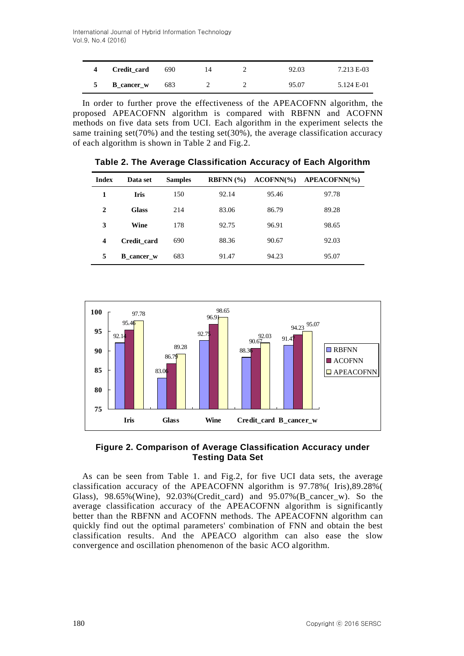| Credit card       | 690 | 14 | 92.03 | 7.213 E-03 |
|-------------------|-----|----|-------|------------|
| <b>B</b> cancer w | 683 |    | 95.07 | 5.124 E-01 |

In order to further prove the effectiveness of the APEACOFNN algorithm, the proposed APEACOFNN algorithm is compared with RBFNN and ACOFNN methods on five data sets from UCI. Each algorithm in the experiment selects the same training set(70%) and the testing set(30%), the average classification accuracy of each algorithm is shown in Table 2 and Fig.2.

| <b>Index</b>            | Data set          | <b>Samples</b> | RBFNN (%) | $ACOFNN\%$ | $APEACOFNN$ % |
|-------------------------|-------------------|----------------|-----------|------------|---------------|
| 1                       | <b>Iris</b>       | 150            | 92.14     | 95.46      | 97.78         |
| $\mathbf{2}$            | <b>Glass</b>      | 214            | 83.06     | 86.79      | 89.28         |
| 3                       | Wine              | 178            | 92.75     | 96.91      | 98.65         |
| $\overline{\mathbf{4}}$ | Credit_card       | 690            | 88.36     | 90.67      | 92.03         |
| 5                       | <b>B</b> cancer w | 683            | 91.47     | 94.23      | 95.07         |

**Table 2. The Average Classification Accuracy of Each Algorithm**



## **Figure 2. Comparison of Average Classification Accuracy under Testing Data Set**

As can be seen from Table 1. and Fig.2, for five UCI data sets, the average classification accuracy of the APEACOFNN algorithm is 97.78%( Iris),89.28%( Glass), 98.65%(Wine), 92.03%(Credit\_card) and 95.07%(B\_cancer\_w). So the average classification accuracy of the APEACOFNN algorithm is significantly better than the RBFNN and ACOFNN methods. The APEACOFNN algorithm can quickly find out the optimal parameters' combination of FNN and obtain the best classification results. And the APEACO algorithm can also ease the slow convergence and oscillation phenomenon of the basic ACO algorithm.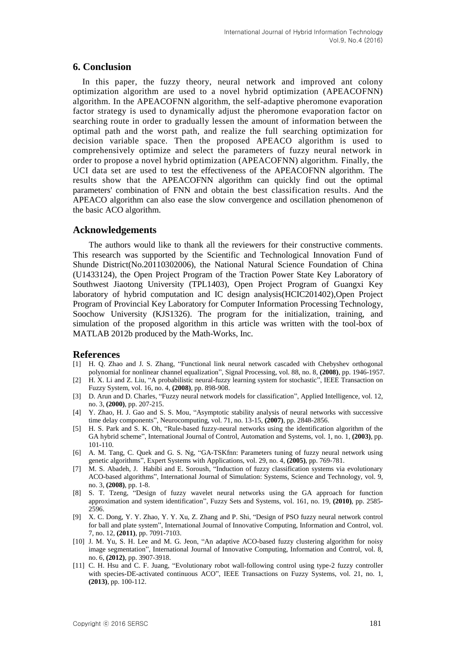## **6. Conclusion**

In this paper, the fuzzy theory, neural network and improved ant colony optimization algorithm are used to a novel hybrid optimization (APEACOFNN) algorithm. In the APEACOFNN algorithm, the self-adaptive pheromone evaporation factor strategy is used to dynamically adjust the pheromone evaporation factor on searching route in order to gradually lessen the amount of information between the optimal path and the worst path, and realize the full searching optimization for decision variable space. Then the proposed APEACO algorithm is used to comprehensively optimize and select the parameters of fuzzy neural network in order to propose a novel hybrid optimization (APEACOFNN) algorithm. Finally, the UCI data set are used to test the effectiveness of the APEACOFNN algorithm. The results show that the APEACOFNN algorithm can quickly find out the optimal parameters' combination of FNN and obtain the best classification results. And the APEACO algorithm can also ease the slow convergence and oscillation phenomenon of the basic ACO algorithm.

## **Acknowledgements**

 The authors would like to thank all the reviewers for their constructive comments. This research was supported by the Scientific and Technological Innovation Fund of Shunde District(No.20110302006), the National Natural Science Foundation of China (U1433124), the Open Project Program of the Traction Power State Key Laboratory of Southwest Jiaotong University (TPL1403), Open Project Program of Guangxi Key laboratory of hybrid computation and IC design analysis(HCIC201402),Open Project Program of Provincial Key Laboratory for Computer Information Processing Technology, Soochow University (KJS1326). The program for the initialization, training, and simulation of the proposed algorithm in this article was written with the tool-box of MATLAB 2012b produced by the Math-Works, Inc.

#### **References**

- [1] H. Q. Zhao and J. S. Zhang, "Functional link neural network cascaded with Chebyshev orthogonal polynomial for nonlinear channel equalization", Signal Processing, vol. 88, no. 8, **(2008)**, pp. 1946-1957.
- [2] H. X. Li and Z. Liu, "A probabilistic neural-fuzzy learning system for stochastic", IEEE Transaction on Fuzzy System, vol. 16, no. 4, **(2008)**, pp. 898-908.
- [3] D. Arun and D. Charles, "Fuzzy neural network models for classification", Applied Intelligence, vol. 12, no. 3, **(2000)**, pp. 207-215.
- [4] Y. Zhao, H. J. Gao and S. S. Mou, "Asymptotic stability analysis of neural networks with successive time delay components", Neurocomputing, vol. 71, no. 13-15, **(2007)**, pp. 2848-2856.
- [5] H. S. Park and S. K. Oh, "Rule-based fuzzy-neural networks using the identification algorithm of the GA hybrid scheme", International Journal of Control, Automation and Systems, vol. 1, no. 1, **(2003)**, pp. 101-110.
- [6] A. M. Tang, C. Quek and G. S. Ng, "GA-TSKfnn: Parameters tuning of fuzzy neural network using genetic algorithms", Expert Systems with Applications, vol. 29, no. 4, **(2005)**, pp. 769-781.
- [7] M. S. Abadeh, J. Habibi and E. Soroush, "Induction of fuzzy classification systems via evolutionary ACO-based algorithms", International Journal of Simulation: Systems, Science and Technology, vol. 9, no. 3, **(2008)**, pp. 1-8.
- [8] S. T. Tzeng, "Design of fuzzy wavelet neural networks using the GA approach for function approximation and system identification", Fuzzy Sets and Systems, vol. 161, no. 19, **(2010)**, pp. 2585- 2596.
- [9] X. C. Dong, Y. Y. Zhao, Y. Y. Xu, Z. Zhang and P. Shi, "Design of PSO fuzzy neural network control for ball and plate system", International Journal of Innovative Computing, Information and Control, vol. 7, no. 12, **(2011)**, pp. 7091-7103.
- [10] J. M. Yu, S. H. Lee and M. G. Jeon, "An adaptive ACO-based fuzzy clustering algorithm for noisy image segmentation", International Journal of Innovative Computing, Information and Control, vol. 8, no. 6, **(2012)**, pp. 3907-3918.
- [11] C. H. Hsu and C. F. Juang, "Evolutionary robot wall-following control using type-2 fuzzy controller with species-DE-activated continuous ACO", IEEE Transactions on Fuzzy Systems, vol. 21, no. 1, **(2013)**, pp. 100-112.